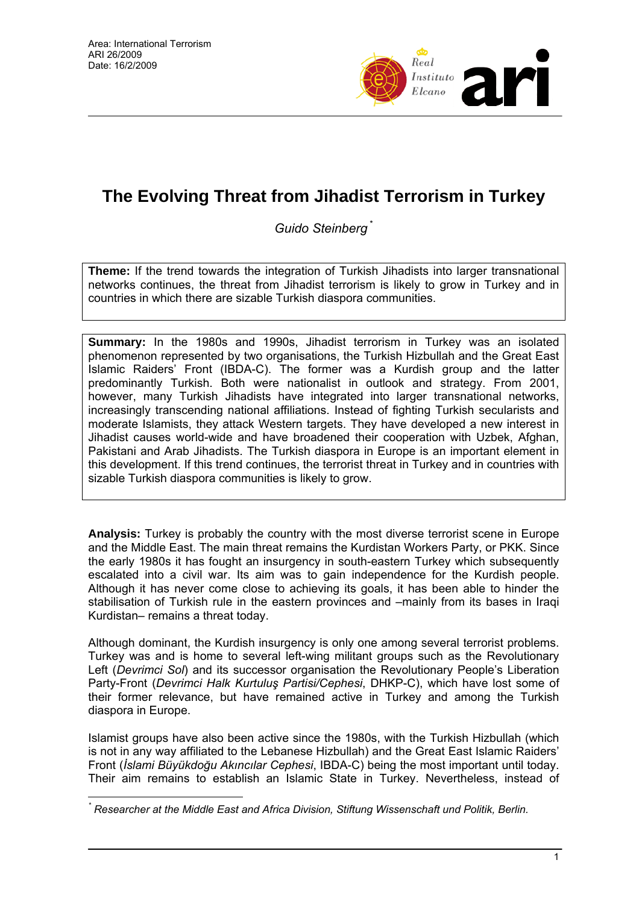

# **The Evolving Threat from Jihadist Terrorism in Turkey**

*Guido Steinberg* \*

**Theme:** If the trend towards the integration of Turkish Jihadists into larger transnational networks continues, the threat from Jihadist terrorism is likely to grow in Turkey and in countries in which there are sizable Turkish diaspora communities.

**Summary:** In the 1980s and 1990s, Jihadist terrorism in Turkey was an isolated phenomenon represented by two organisations, the Turkish Hizbullah and the Great East Islamic Raiders' Front (IBDA-C). The former was a Kurdish group and the latter predominantly Turkish. Both were nationalist in outlook and strategy. From 2001, however, many Turkish Jihadists have integrated into larger transnational networks, increasingly transcending national affiliations. Instead of fighting Turkish secularists and moderate Islamists, they attack Western targets. They have developed a new interest in Jihadist causes world-wide and have broadened their cooperation with Uzbek, Afghan, Pakistani and Arab Jihadists. The Turkish diaspora in Europe is an important element in this development. If this trend continues, the terrorist threat in Turkey and in countries with sizable Turkish diaspora communities is likely to grow.

**Analysis:** Turkey is probably the country with the most diverse terrorist scene in Europe and the Middle East. The main threat remains the Kurdistan Workers Party, or PKK. Since the early 1980s it has fought an insurgency in south-eastern Turkey which subsequently escalated into a civil war. Its aim was to gain independence for the Kurdish people. Although it has never come close to achieving its goals, it has been able to hinder the stabilisation of Turkish rule in the eastern provinces and –mainly from its bases in Iraqi Kurdistan– remains a threat today.

Although dominant, the Kurdish insurgency is only one among several terrorist problems. Turkey was and is home to several left-wing militant groups such as the Revolutionary Left (*Devrimci Sol*) and its successor organisation the Revolutionary People's Liberation Party-Front (*Devrimci Halk Kurtuluş Partisi/Cephesi*, DHKP-C), which have lost some of their former relevance, but have remained active in Turkey and among the Turkish diaspora in Europe.

Islamist groups have also been active since the 1980s, with the Turkish Hizbullah (which is not in any way affiliated to the Lebanese Hizbullah) and the Great East Islamic Raiders' Front (*İslami Büyükdoğu Akıncılar Cephesi*, IBDA-C) being the most important until today. Their aim remains to establish an Islamic State in Turkey. Nevertheless, instead of

 $\overline{a}$ *\* Researcher at the Middle East and Africa Division, Stiftung Wissenschaft und Politik, Berlin.*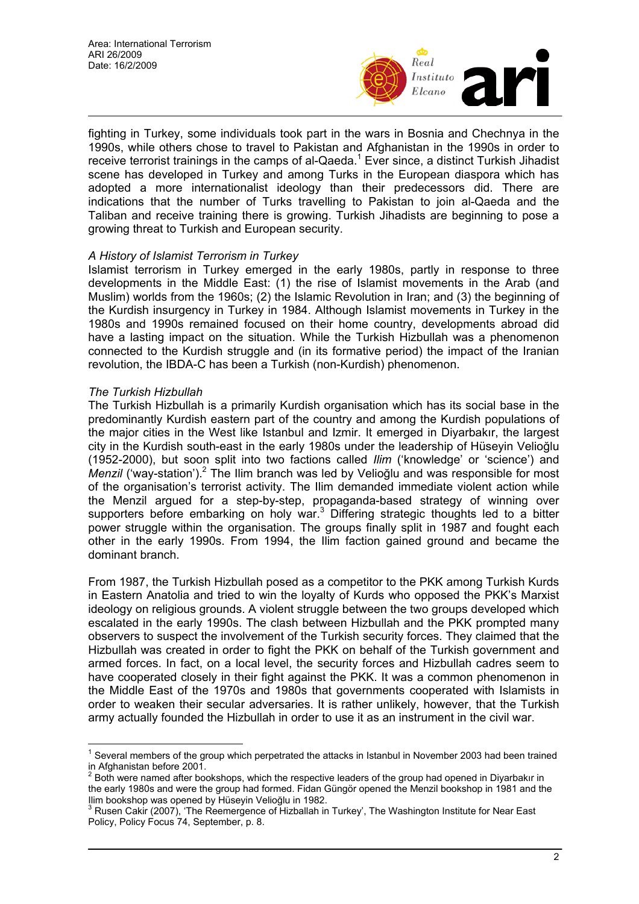

fighting in Turkey, some individuals took part in the wars in Bosnia and Chechnya in the 1990s, while others chose to travel to Pakistan and Afghanistan in the 1990s in order to receive terrorist trainings in the camps of al-Qaeda.<sup>1</sup> Ever since, a distinct Turkish Jihadist scene has developed in Turkey and among Turks in the European diaspora which has adopted a more internationalist ideology than their predecessors did. There are indications that the number of Turks travelling to Pakistan to join al-Qaeda and the Taliban and receive training there is growing. Turkish Jihadists are beginning to pose a growing threat to Turkish and European security.

## *A History of Islamist Terrorism in Turkey*

Islamist terrorism in Turkey emerged in the early 1980s, partly in response to three developments in the Middle East: (1) the rise of Islamist movements in the Arab (and Muslim) worlds from the 1960s; (2) the Islamic Revolution in Iran; and (3) the beginning of the Kurdish insurgency in Turkey in 1984. Although Islamist movements in Turkey in the 1980s and 1990s remained focused on their home country, developments abroad did have a lasting impact on the situation. While the Turkish Hizbullah was a phenomenon connected to the Kurdish struggle and (in its formative period) the impact of the Iranian revolution, the IBDA-C has been a Turkish (non-Kurdish) phenomenon.

## *The Turkish Hizbullah*

 $\overline{a}$ 

The Turkish Hizbullah is a primarily Kurdish organisation which has its social base in the predominantly Kurdish eastern part of the country and among the Kurdish populations of the major cities in the West like Istanbul and Izmir. It emerged in Diyarbakır, the largest city in the Kurdish south-east in the early 1980s under the leadership of Hüseyin Velioğlu (1952-2000), but soon split into two factions called *Ilim* ('knowledge' or 'science') and Menzil ('way-station').<sup>2</sup> The Ilim branch was led by Velioğlu and was responsible for most of the organisation's terrorist activity. The Ilim demanded immediate violent action while the Menzil argued for a step-by-step, propaganda-based strategy of winning over supporters before embarking on holy war.<sup>3</sup> Differing strategic thoughts led to a bitter power struggle within the organisation. The groups finally split in 1987 and fought each other in the early 1990s. From 1994, the Ilim faction gained ground and became the dominant branch.

From 1987, the Turkish Hizbullah posed as a competitor to the PKK among Turkish Kurds in Eastern Anatolia and tried to win the loyalty of Kurds who opposed the PKK's Marxist ideology on religious grounds. A violent struggle between the two groups developed which escalated in the early 1990s. The clash between Hizbullah and the PKK prompted many observers to suspect the involvement of the Turkish security forces. They claimed that the Hizbullah was created in order to fight the PKK on behalf of the Turkish government and armed forces. In fact, on a local level, the security forces and Hizbullah cadres seem to have cooperated closely in their fight against the PKK. It was a common phenomenon in the Middle East of the 1970s and 1980s that governments cooperated with Islamists in order to weaken their secular adversaries. It is rather unlikely, however, that the Turkish army actually founded the Hizbullah in order to use it as an instrument in the civil war.

 $1$  Several members of the group which perpetrated the attacks in Istanbul in November 2003 had been trained in Afghanistan before 2001.<br><sup>2</sup> Peth ware named after bes

Both were named after bookshops, which the respective leaders of the group had opened in Diyarbakır in the early 1980s and were the group had formed. Fidan Güngör opened the Menzil bookshop in 1981 and the Ilim bookshop was opened by Hüseyin Velioğlu in 1982.

 $3$  Rusen Cakir (2007), 'The Reemergence of Hizballah in Turkey', The Washington Institute for Near East Policy, Policy Focus 74, September, p. 8.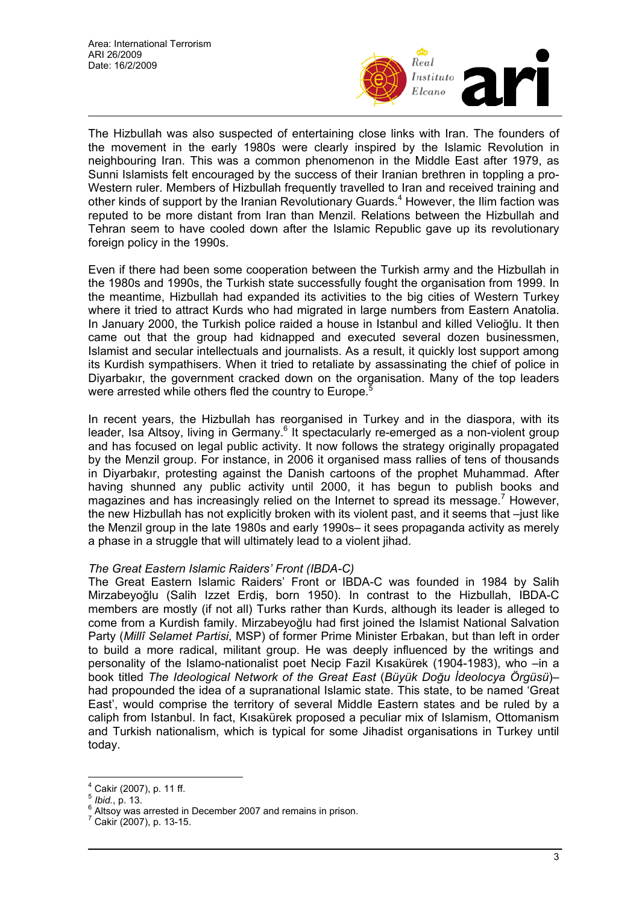

The Hizbullah was also suspected of entertaining close links with Iran. The founders of the movement in the early 1980s were clearly inspired by the Islamic Revolution in neighbouring Iran. This was a common phenomenon in the Middle East after 1979, as Sunni Islamists felt encouraged by the success of their Iranian brethren in toppling a pro-Western ruler. Members of Hizbullah frequently travelled to Iran and received training and other kinds of support by the Iranian Revolutionary Guards.<sup>4</sup> However, the Ilim faction was reputed to be more distant from Iran than Menzil. Relations between the Hizbullah and Tehran seem to have cooled down after the Islamic Republic gave up its revolutionary foreign policy in the 1990s.

Even if there had been some cooperation between the Turkish army and the Hizbullah in the 1980s and 1990s, the Turkish state successfully fought the organisation from 1999. In the meantime, Hizbullah had expanded its activities to the big cities of Western Turkey where it tried to attract Kurds who had migrated in large numbers from Eastern Anatolia. In January 2000, the Turkish police raided a house in Istanbul and killed Velioğlu. It then came out that the group had kidnapped and executed several dozen businessmen, Islamist and secular intellectuals and journalists. As a result, it quickly lost support among its Kurdish sympathisers. When it tried to retaliate by assassinating the chief of police in Diyarbakır, the government cracked down on the organisation. Many of the top leaders were arrested while others fled the country to Europe.<sup>5</sup>

In recent years, the Hizbullah has reorganised in Turkey and in the diaspora, with its leader, Isa Altsoy, living in Germany.<sup>6</sup> It spectacularly re-emerged as a non-violent group and has focused on legal public activity. It now follows the strategy originally propagated by the Menzil group. For instance, in 2006 it organised mass rallies of tens of thousands in Diyarbakır, protesting against the Danish cartoons of the prophet Muhammad. After having shunned any public activity until 2000, it has begun to publish books and magazines and has increasingly relied on the Internet to spread its message.<sup>7</sup> However, the new Hizbullah has not explicitly broken with its violent past, and it seems that –just like the Menzil group in the late 1980s and early 1990s– it sees propaganda activity as merely a phase in a struggle that will ultimately lead to a violent jihad.

## *The Great Eastern Islamic Raiders' Front (IBDA-C)*

The Great Eastern Islamic Raiders' Front or IBDA-C was founded in 1984 by Salih Mirzabeyoğlu (Salih Izzet Erdiş, born 1950). In contrast to the Hizbullah, IBDA-C members are mostly (if not all) Turks rather than Kurds, although its leader is alleged to come from a Kurdish family. Mirzabeyoğlu had first joined the Islamist National Salvation Party (*Millî Selamet Partisi*, MSP) of former Prime Minister Erbakan, but than left in order to build a more radical, militant group. He was deeply influenced by the writings and personality of the Islamo-nationalist poet Necip Fazil Kısakürek (1904-1983), who –in a book titled *The Ideological Network of the Great East* (*Büyük Doğu İdeolocya Örgüsü*)– had propounded the idea of a supranational Islamic state. This state, to be named 'Great East', would comprise the territory of several Middle Eastern states and be ruled by a caliph from Istanbul. In fact, Kısakürek proposed a peculiar mix of Islamism, Ottomanism and Turkish nationalism, which is typical for some Jihadist organisations in Turkey until today.

 $\overline{a}$ 

<sup>4</sup> Cakir (2007), p. 11 ff.

<sup>5</sup> *Ibid.*, p. 13. 6

 $^{\circ}$  Altsoy was arrested in December 2007 and remains in prison.<br>7 Cakir (2007), p. 12.15

Cakir (2007), p. 13-15.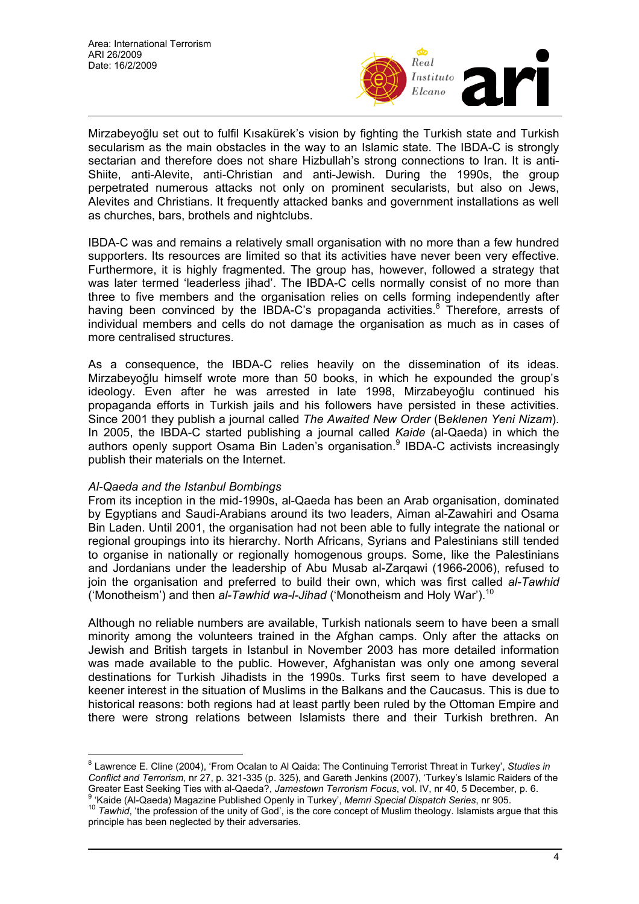

Mirzabeyoğlu set out to fulfil Kısakürek's vision by fighting the Turkish state and Turkish secularism as the main obstacles in the way to an Islamic state. The IBDA-C is strongly sectarian and therefore does not share Hizbullah's strong connections to Iran. It is anti-Shiite, anti-Alevite, anti-Christian and anti-Jewish. During the 1990s, the group perpetrated numerous attacks not only on prominent secularists, but also on Jews, Alevites and Christians. It frequently attacked banks and government installations as well as churches, bars, brothels and nightclubs.

IBDA-C was and remains a relatively small organisation with no more than a few hundred supporters. Its resources are limited so that its activities have never been very effective. Furthermore, it is highly fragmented. The group has, however, followed a strategy that was later termed 'leaderless jihad'. The IBDA-C cells normally consist of no more than three to five members and the organisation relies on cells forming independently after having been convinced by the IBDA-C's propaganda activities.<sup>8</sup> Therefore, arrests of individual members and cells do not damage the organisation as much as in cases of more centralised structures.

As a consequence, the IBDA-C relies heavily on the dissemination of its ideas. Mirzabeyoğlu himself wrote more than 50 books, in which he expounded the group's ideology. Even after he was arrested in late 1998, Mirzabeyoğlu continued his propaganda efforts in Turkish jails and his followers have persisted in these activities. Since 2001 they publish a journal called *The Awaited New Order* (B*eklenen Yeni Nizam*). In 2005, the IBDA-C started publishing a journal called *Kaide* (al-Qaeda) in which the authors openly support Osama Bin Laden's organisation.<sup>9</sup> IBDA-C activists increasingly publish their materials on the Internet.

## *Al-Qaeda and the Istanbul Bombings*

 $\overline{a}$ 

From its inception in the mid-1990s, al-Qaeda has been an Arab organisation, dominated by Egyptians and Saudi-Arabians around its two leaders, Aiman al-Zawahiri and Osama Bin Laden. Until 2001, the organisation had not been able to fully integrate the national or regional groupings into its hierarchy. North Africans, Syrians and Palestinians still tended to organise in nationally or regionally homogenous groups. Some, like the Palestinians and Jordanians under the leadership of Abu Musab al-Zarqawi (1966-2006), refused to join the organisation and preferred to build their own, which was first called *al-Tawhid* ('Monotheism') and then *al-Tawhid wa-l-Jihad* ('Monotheism and Holy War').<sup>10</sup>

Although no reliable numbers are available, Turkish nationals seem to have been a small minority among the volunteers trained in the Afghan camps. Only after the attacks on Jewish and British targets in Istanbul in November 2003 has more detailed information was made available to the public. However, Afghanistan was only one among several destinations for Turkish Jihadists in the 1990s. Turks first seem to have developed a keener interest in the situation of Muslims in the Balkans and the Caucasus. This is due to historical reasons: both regions had at least partly been ruled by the Ottoman Empire and there were strong relations between Islamists there and their Turkish brethren. An

<sup>8</sup> Lawrence E. Cline (2004), 'From Ocalan to Al Qaida: The Continuing Terrorist Threat in Turkey', *Studies in Conflict and Terrorism*, nr 27, p. 321-335 (p. 325), and Gareth Jenkins (2007), 'Turkey's Islamic Raiders of the Greater East Seeking Ties with al-Qaeda?, *Jamestown Terrorism Focus*, vol. IV, nr 40, 5 December, p. 6.<br>9 'Kaide (Al-Qaeda) Magazine Published Openly in Turkey', *Memri Special Dispatch Series*, nr 905.

<sup>&</sup>lt;sup>10</sup> Tawhid, 'the profession of the unity of God', is the core concept of Muslim theology. Islamists argue that this

principle has been neglected by their adversaries.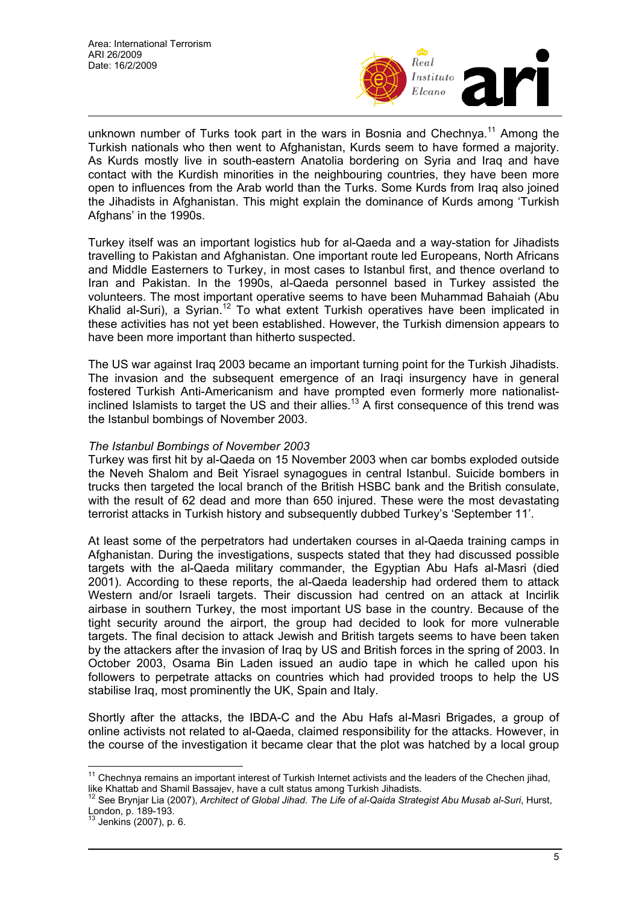

unknown number of Turks took part in the wars in Bosnia and Chechnya.<sup>11</sup> Among the Turkish nationals who then went to Afghanistan, Kurds seem to have formed a majority. As Kurds mostly live in south-eastern Anatolia bordering on Syria and Iraq and have contact with the Kurdish minorities in the neighbouring countries, they have been more open to influences from the Arab world than the Turks. Some Kurds from Iraq also joined the Jihadists in Afghanistan. This might explain the dominance of Kurds among 'Turkish Afghans' in the 1990s.

Turkey itself was an important logistics hub for al-Qaeda and a way-station for Jihadists travelling to Pakistan and Afghanistan. One important route led Europeans, North Africans and Middle Easterners to Turkey, in most cases to Istanbul first, and thence overland to Iran and Pakistan. In the 1990s, al-Qaeda personnel based in Turkey assisted the volunteers. The most important operative seems to have been Muhammad Bahaiah (Abu Khalid al-Suri), a Syrian.<sup>12</sup> To what extent Turkish operatives have been implicated in these activities has not yet been established. However, the Turkish dimension appears to have been more important than hitherto suspected.

The US war against Iraq 2003 became an important turning point for the Turkish Jihadists. The invasion and the subsequent emergence of an Iraqi insurgency have in general fostered Turkish Anti-Americanism and have prompted even formerly more nationalistinclined Islamists to target the US and their allies.<sup>13</sup> A first consequence of this trend was the Istanbul bombings of November 2003.

## *The Istanbul Bombings of November 2003*

Turkey was first hit by al-Qaeda on 15 November 2003 when car bombs exploded outside the Neveh Shalom and Beit Yisrael synagogues in central Istanbul. Suicide bombers in trucks then targeted the local branch of the British HSBC bank and the British consulate, with the result of 62 dead and more than 650 injured. These were the most devastating terrorist attacks in Turkish history and subsequently dubbed Turkey's 'September 11'.

At least some of the perpetrators had undertaken courses in al-Qaeda training camps in Afghanistan. During the investigations, suspects stated that they had discussed possible targets with the al-Qaeda military commander, the Egyptian Abu Hafs al-Masri (died 2001). According to these reports, the al-Qaeda leadership had ordered them to attack Western and/or Israeli targets. Their discussion had centred on an attack at Incirlik airbase in southern Turkey, the most important US base in the country. Because of the tight security around the airport, the group had decided to look for more vulnerable targets. The final decision to attack Jewish and British targets seems to have been taken by the attackers after the invasion of Iraq by US and British forces in the spring of 2003. In October 2003, Osama Bin Laden issued an audio tape in which he called upon his followers to perpetrate attacks on countries which had provided troops to help the US stabilise Iraq, most prominently the UK, Spain and Italy.

Shortly after the attacks, the IBDA-C and the Abu Hafs al-Masri Brigades, a group of online activists not related to al-Qaeda, claimed responsibility for the attacks. However, in the course of the investigation it became clear that the plot was hatched by a local group

 $\overline{a}$  $11$  Chechnya remains an important interest of Turkish Internet activists and the leaders of the Chechen jihad,

like Khattab and Shamil Bassajev, have a cult status among Turkish Jihadists.<br><sup>12</sup> See Brynjar Lia (2007), *Architect of Global Jihad. The Life of al-Qaida Strategist Abu Musab al-Suri*, Hurst, London, p. 189-193.

Jenkins (2007), p. 6.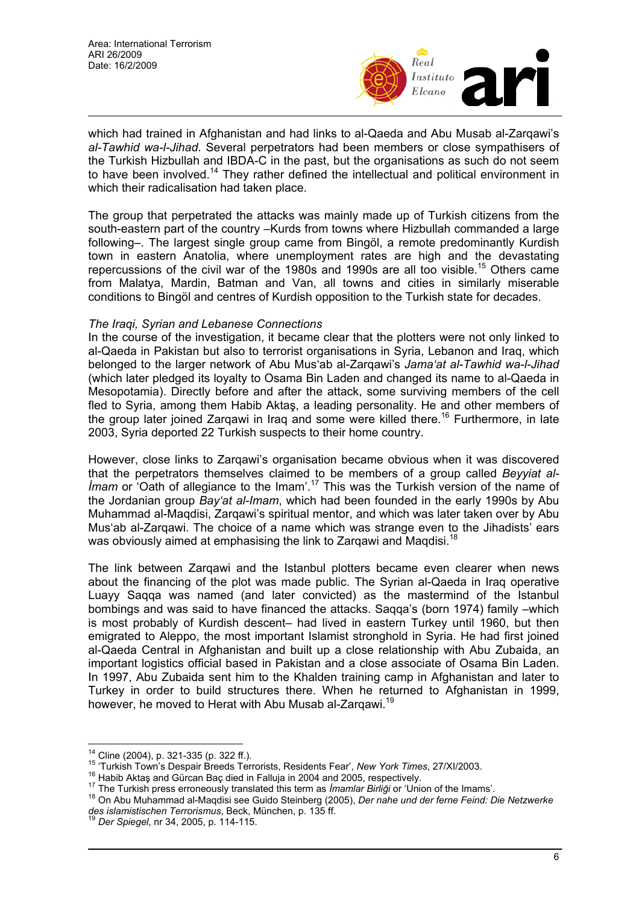

which had trained in Afghanistan and had links to al-Qaeda and Abu Musab al-Zarqawi's *al-Tawhid wa-l-Jihad*. Several perpetrators had been members or close sympathisers of the Turkish Hizbullah and IBDA-C in the past, but the organisations as such do not seem to have been involved.<sup>14</sup> They rather defined the intellectual and political environment in which their radicalisation had taken place.

The group that perpetrated the attacks was mainly made up of Turkish citizens from the south-eastern part of the country –Kurds from towns where Hizbullah commanded a large following–. The largest single group came from Bingöl, a remote predominantly Kurdish town in eastern Anatolia, where unemployment rates are high and the devastating repercussions of the civil war of the 1980s and 1990s are all too visible.<sup>15</sup> Others came from Malatya, Mardin, Batman and Van, all towns and cities in similarly miserable conditions to Bingöl and centres of Kurdish opposition to the Turkish state for decades.

#### *The Iraqi, Syrian and Lebanese Connections*

In the course of the investigation, it became clear that the plotters were not only linked to al-Qaeda in Pakistan but also to terrorist organisations in Syria, Lebanon and Iraq, which belonged to the larger network of Abu Mus'ab al-Zarqawi's *Jama'at al-Tawhid wa-l-Jihad* (which later pledged its loyalty to Osama Bin Laden and changed its name to al-Qaeda in Mesopotamia). Directly before and after the attack, some surviving members of the cell fled to Syria, among them Habib Aktaş, a leading personality. He and other members of the group later joined Zargawi in Irag and some were killed there.<sup>16</sup> Furthermore, in late 2003, Syria deported 22 Turkish suspects to their home country.

However, close links to Zarqawi's organisation became obvious when it was discovered that the perpetrators themselves claimed to be members of a group called *Beyyiat al-Imam* or 'Oath of allegiance to the Imam'.<sup>17</sup> This was the Turkish version of the name of the Jordanian group *Bay'at al-Imam*, which had been founded in the early 1990s by Abu Muhammad al-Maqdisi, Zarqawi's spiritual mentor, and which was later taken over by Abu Mus'ab al-Zarqawi. The choice of a name which was strange even to the Jihadists' ears was obviously aimed at emphasising the link to Zargawi and Magdisi.<sup>18</sup>

The link between Zarqawi and the Istanbul plotters became even clearer when news about the financing of the plot was made public. The Syrian al-Qaeda in Iraq operative Luayy Saqqa was named (and later convicted) as the mastermind of the Istanbul bombings and was said to have financed the attacks. Saqqa's (born 1974) family –which is most probably of Kurdish descent– had lived in eastern Turkey until 1960, but then emigrated to Aleppo, the most important Islamist stronghold in Syria. He had first joined al-Qaeda Central in Afghanistan and built up a close relationship with Abu Zubaida, an important logistics official based in Pakistan and a close associate of Osama Bin Laden. In 1997, Abu Zubaida sent him to the Khalden training camp in Afghanistan and later to Turkey in order to build structures there. When he returned to Afghanistan in 1999, however, he moved to Herat with Abu Musab al-Zargawi.<sup>19</sup>

 $\overline{a}$ 

<sup>&</sup>lt;sup>14</sup> Cline (2004), p. 321-335 (p. 322 ff.).<br><sup>15</sup> 'Turkish Town's Despair Breeds Terrorists, Residents Fear', New York Times, 27/XI/2003.<br><sup>16</sup> Habib Aktaş and Gürcan Baç died in Falluja in 2004 and 2005, respectively.<br><sup>17</sup> *des islamistischen Terrorismus*, Beck, München, p. 135 ff. 19 *Der Spiegel*, nr 34, 2005, p. 114-115.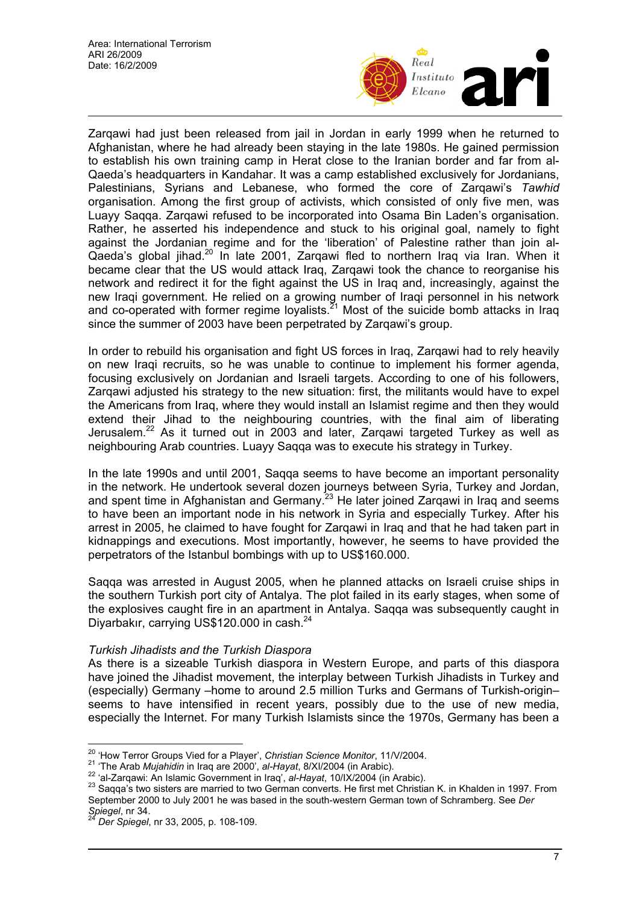

Zarqawi had just been released from jail in Jordan in early 1999 when he returned to Afghanistan, where he had already been staying in the late 1980s. He gained permission to establish his own training camp in Herat close to the Iranian border and far from al-Qaeda's headquarters in Kandahar. It was a camp established exclusively for Jordanians, Palestinians, Syrians and Lebanese, who formed the core of Zarqawi's *Tawhid* organisation. Among the first group of activists, which consisted of only five men, was Luayy Saqqa. Zarqawi refused to be incorporated into Osama Bin Laden's organisation. Rather, he asserted his independence and stuck to his original goal, namely to fight against the Jordanian regime and for the 'liberation' of Palestine rather than join al-Qaeda's global jihad.20 In late 2001, Zarqawi fled to northern Iraq via Iran. When it became clear that the US would attack Iraq, Zarqawi took the chance to reorganise his network and redirect it for the fight against the US in Iraq and, increasingly, against the new Iraqi government. He relied on a growing number of Iraqi personnel in his network and co-operated with former regime loyalists.<sup>21</sup> Most of the suicide bomb attacks in Iraq since the summer of 2003 have been perpetrated by Zarqawi's group.

In order to rebuild his organisation and fight US forces in Iraq, Zarqawi had to rely heavily on new Iraqi recruits, so he was unable to continue to implement his former agenda, focusing exclusively on Jordanian and Israeli targets. According to one of his followers, Zarqawi adjusted his strategy to the new situation: first, the militants would have to expel the Americans from Iraq, where they would install an Islamist regime and then they would extend their Jihad to the neighbouring countries, with the final aim of liberating Jerusalem.<sup>22</sup> As it turned out in 2003 and later, Zarqawi targeted Turkey as well as neighbouring Arab countries. Luayy Saqqa was to execute his strategy in Turkey.

In the late 1990s and until 2001, Saqqa seems to have become an important personality in the network. He undertook several dozen journeys between Syria, Turkey and Jordan, and spent time in Afghanistan and Germany.<sup>23</sup> He later joined Zarqawi in Iraq and seems to have been an important node in his network in Syria and especially Turkey. After his arrest in 2005, he claimed to have fought for Zarqawi in Iraq and that he had taken part in kidnappings and executions. Most importantly, however, he seems to have provided the perpetrators of the Istanbul bombings with up to US\$160.000.

Saqqa was arrested in August 2005, when he planned attacks on Israeli cruise ships in the southern Turkish port city of Antalya. The plot failed in its early stages, when some of the explosives caught fire in an apartment in Antalya. Saqqa was subsequently caught in Diyarbakır, carrying US\$120.000 in cash.<sup>24</sup>

## *Turkish Jihadists and the Turkish Diaspora*

As there is a sizeable Turkish diaspora in Western Europe, and parts of this diaspora have joined the Jihadist movement, the interplay between Turkish Jihadists in Turkey and (especially) Germany –home to around 2.5 million Turks and Germans of Turkish-origin– seems to have intensified in recent years, possibly due to the use of new media, especially the Internet. For many Turkish Islamists since the 1970s, Germany has been a

<sup>&</sup>lt;sup>20</sup> 'How Terror Groups Vied for a Player', Christian Science Monitor, 11/V/2004.

<sup>&</sup>lt;sup>21</sup> 'The Arab *Mujahidin* in Iraq are 2000', al-Hayat, 8/XI/2004 (in Arabic).<br><sup>22</sup> 'al-Zarqawi: An Islamic Government in Iraq', al-Hayat, 10/IX/2004 (in Arabic).<br><sup>23</sup> Saqqa's two sisters are married to two German convert September 2000 to July 2001 he was based in the south-western German town of Schramberg. See *Der* 

*Spiegel*, nr 34. 24 *Der Spiegel*, nr 33, 2005, p. 108-109.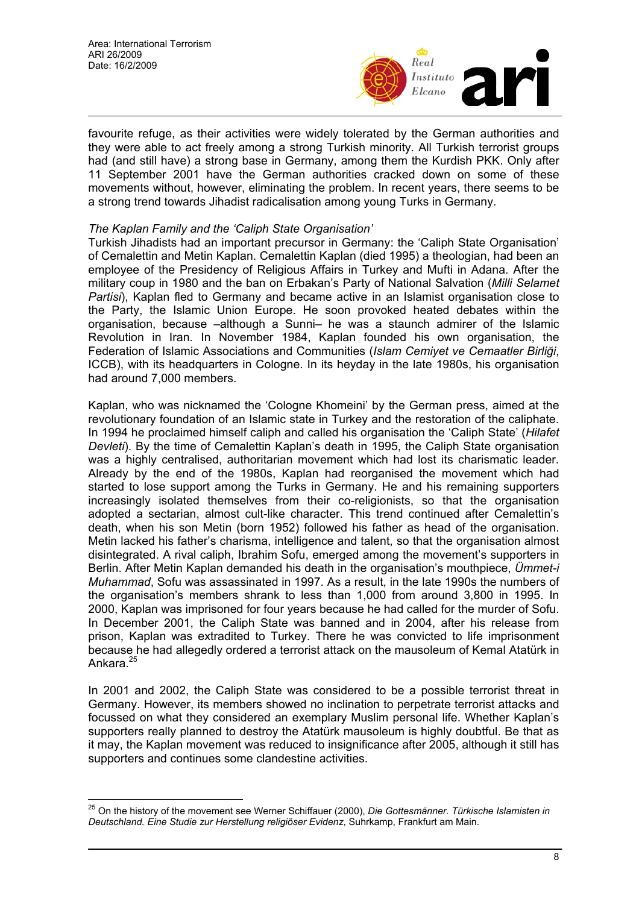$\overline{a}$ 



favourite refuge, as their activities were widely tolerated by the German authorities and they were able to act freely among a strong Turkish minority. All Turkish terrorist groups had (and still have) a strong base in Germany, among them the Kurdish PKK. Only after 11 September 2001 have the German authorities cracked down on some of these movements without, however, eliminating the problem. In recent years, there seems to be a strong trend towards Jihadist radicalisation among young Turks in Germany.

## *The Kaplan Family and the 'Caliph State Organisation'*

Turkish Jihadists had an important precursor in Germany: the 'Caliph State Organisation' of Cemalettin and Metin Kaplan. Cemalettin Kaplan (died 1995) a theologian, had been an employee of the Presidency of Religious Affairs in Turkey and Mufti in Adana. After the military coup in 1980 and the ban on Erbakan's Party of National Salvation (*Milli Selamet Partisi*), Kaplan fled to Germany and became active in an Islamist organisation close to the Party, the Islamic Union Europe. He soon provoked heated debates within the organisation, because –although a Sunni– he was a staunch admirer of the Islamic Revolution in Iran. In November 1984, Kaplan founded his own organisation, the Federation of Islamic Associations and Communities (*Islam Cemiyet ve Cemaatler Birliği*, ICCB), with its headquarters in Cologne. In its heyday in the late 1980s, his organisation had around 7,000 members.

Kaplan, who was nicknamed the 'Cologne Khomeini' by the German press, aimed at the revolutionary foundation of an Islamic state in Turkey and the restoration of the caliphate. In 1994 he proclaimed himself caliph and called his organisation the 'Caliph State' (*Hilafet Devleti*). By the time of Cemalettin Kaplan's death in 1995, the Caliph State organisation was a highly centralised, authoritarian movement which had lost its charismatic leader. Already by the end of the 1980s, Kaplan had reorganised the movement which had started to lose support among the Turks in Germany. He and his remaining supporters increasingly isolated themselves from their co-religionists, so that the organisation adopted a sectarian, almost cult-like character. This trend continued after Cemalettin's death, when his son Metin (born 1952) followed his father as head of the organisation. Metin lacked his father's charisma, intelligence and talent, so that the organisation almost disintegrated. A rival caliph, Ibrahim Sofu, emerged among the movement's supporters in Berlin. After Metin Kaplan demanded his death in the organisation's mouthpiece, *Ümmet-i Muhammad*, Sofu was assassinated in 1997. As a result, in the late 1990s the numbers of the organisation's members shrank to less than 1,000 from around 3,800 in 1995. In 2000, Kaplan was imprisoned for four years because he had called for the murder of Sofu. In December 2001, the Caliph State was banned and in 2004, after his release from prison, Kaplan was extradited to Turkey. There he was convicted to life imprisonment because he had allegedly ordered a terrorist attack on the mausoleum of Kemal Atatürk in Ankara.<sup>25</sup>

In 2001 and 2002, the Caliph State was considered to be a possible terrorist threat in Germany. However, its members showed no inclination to perpetrate terrorist attacks and focussed on what they considered an exemplary Muslim personal life. Whether Kaplan's supporters really planned to destroy the Atatürk mausoleum is highly doubtful. Be that as it may, the Kaplan movement was reduced to insignificance after 2005, although it still has supporters and continues some clandestine activities.

<sup>25</sup> On the history of the movement see Werner Schiffauer (2000), *Die Gottesmänner. Türkische Islamisten in Deutschland. Eine Studie zur Herstellung religiöser Evidenz*, Suhrkamp, Frankfurt am Main.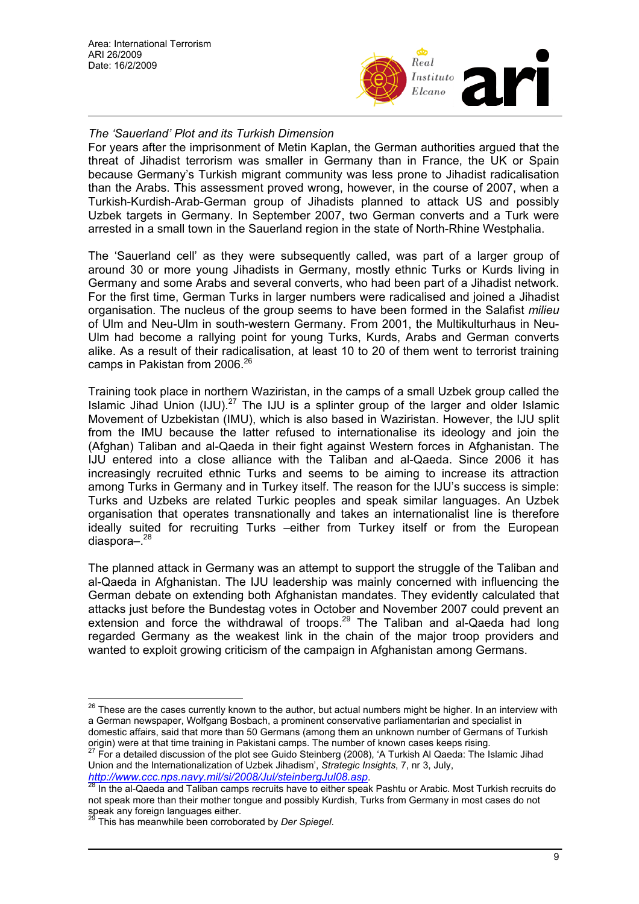

## *The 'Sauerland' Plot and its Turkish Dimension*

For years after the imprisonment of Metin Kaplan, the German authorities argued that the threat of Jihadist terrorism was smaller in Germany than in France, the UK or Spain because Germany's Turkish migrant community was less prone to Jihadist radicalisation than the Arabs. This assessment proved wrong, however, in the course of 2007, when a Turkish-Kurdish-Arab-German group of Jihadists planned to attack US and possibly Uzbek targets in Germany. In September 2007, two German converts and a Turk were arrested in a small town in the Sauerland region in the state of North-Rhine Westphalia.

The 'Sauerland cell' as they were subsequently called, was part of a larger group of around 30 or more young Jihadists in Germany, mostly ethnic Turks or Kurds living in Germany and some Arabs and several converts, who had been part of a Jihadist network. For the first time, German Turks in larger numbers were radicalised and joined a Jihadist organisation. The nucleus of the group seems to have been formed in the Salafist *milieu* of Ulm and Neu-Ulm in south-western Germany. From 2001, the Multikulturhaus in Neu-Ulm had become a rallying point for young Turks, Kurds, Arabs and German converts alike. As a result of their radicalisation, at least 10 to 20 of them went to terrorist training camps in Pakistan from 2006.<sup>26</sup>

Training took place in northern Waziristan, in the camps of a small Uzbek group called the Islamic Jihad Union  $(IJU)$ .<sup>27</sup> The IJU is a splinter group of the larger and older Islamic Movement of Uzbekistan (IMU), which is also based in Waziristan. However, the IJU split from the IMU because the latter refused to internationalise its ideology and join the (Afghan) Taliban and al-Qaeda in their fight against Western forces in Afghanistan. The IJU entered into a close alliance with the Taliban and al-Qaeda. Since 2006 it has increasingly recruited ethnic Turks and seems to be aiming to increase its attraction among Turks in Germany and in Turkey itself. The reason for the IJU's success is simple: Turks and Uzbeks are related Turkic peoples and speak similar languages. An Uzbek organisation that operates transnationally and takes an internationalist line is therefore ideally suited for recruiting Turks –either from Turkey itself or from the European diaspora $-$ .<sup>28</sup>

The planned attack in Germany was an attempt to support the struggle of the Taliban and al-Qaeda in Afghanistan. The IJU leadership was mainly concerned with influencing the German debate on extending both Afghanistan mandates. They evidently calculated that attacks just before the Bundestag votes in October and November 2007 could prevent an extension and force the withdrawal of troops.<sup>29</sup> The Taliban and al-Qaeda had long regarded Germany as the weakest link in the chain of the major troop providers and wanted to exploit growing criticism of the campaign in Afghanistan among Germans.

Union and the Internationalization of Uzbek Jihadism', *Strategic Insights*, 7, nr 3, July, *http://www.ccc.nps.navy.mil/si/2008/Jul/steinbergJul08.asp*. 28 In the al-Qaeda and Taliban camps recruits have to either speak Pashtu or Arabic. Most Turkish recruits do

 $\overline{a}$ 

<sup>&</sup>lt;sup>26</sup> These are the cases currently known to the author, but actual numbers might be higher. In an interview with a German newspaper, Wolfgang Bosbach, a prominent conservative parliamentarian and specialist in domestic affairs, said that more than 50 Germans (among them an unknown number of Germans of Turkish origin) were at that time training in Pakistani camps. The number of known cases keeps rising.<br><sup>27</sup> For a detailed discussion of the plot see Guido Steinberg (2008), 'A Turkish Al Qaeda: The Islamic Jihad

not speak more than their mother tongue and possibly Kurdish, Turks from Germany in most cases do not speak any foreign languages either.

<sup>29</sup> This has meanwhile been corroborated by *Der Spiegel*.